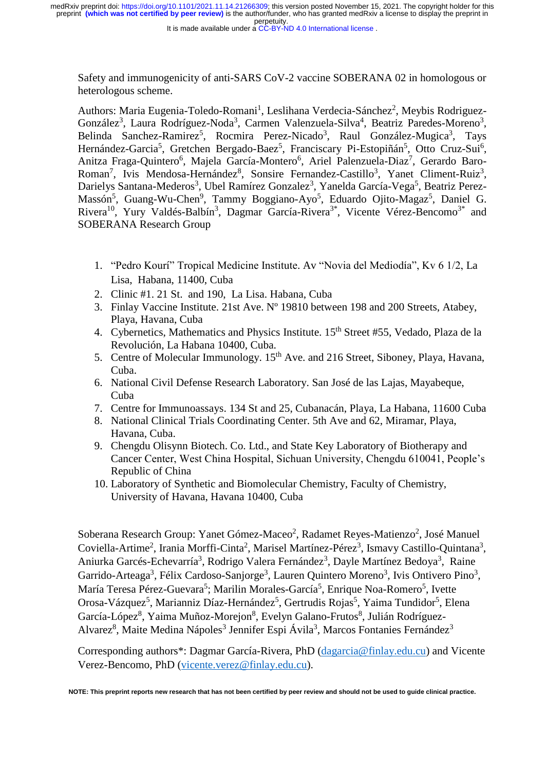Safety and immunogenicity of anti-SARS CoV-2 vaccine SOBERANA 02 in homologous or heterologous scheme.

Authors: Maria Eugenia-Toledo-Romani<sup>1</sup>, Leslihana Verdecia-Sánchez<sup>2</sup>, Meybis Rodriguez-González<sup>3</sup>, Laura Rodríguez-Noda<sup>3</sup>, Carmen Valenzuela-Silva<sup>4</sup>, Beatriz Paredes-Moreno<sup>3</sup>, Belinda Sanchez-Ramirez<sup>5</sup>, Rocmira Perez-Nicado<sup>3</sup>, Raul González-Mugica<sup>3</sup>, Tays Hernández-Garcia<sup>5</sup>, Gretchen Bergado-Baez<sup>5</sup>, Franciscary Pi-Estopiñán<sup>5</sup>, Otto Cruz-Sui<sup>6</sup>, Anitza Fraga-Quintero<sup>6</sup>, Majela García-Montero<sup>6</sup>, Ariel Palenzuela-Diaz<sup>7</sup>, Gerardo Baro-Roman<sup>7</sup>, Ivis Mendosa-Hernández<sup>8</sup>, Sonsire Fernandez-Castillo<sup>3</sup>, Yanet Climent-Ruiz<sup>3</sup>, Darielys Santana-Mederos<sup>3</sup>, Ubel Ramírez Gonzalez<sup>3</sup>, Yanelda García-Vega<sup>5</sup>, Beatriz Perez-Massón<sup>5</sup>, Guang-Wu-Chen<sup>9</sup>, Tammy Boggiano-Ayo<sup>5</sup>, Eduardo Ojito-Magaz<sup>5</sup>, Daniel G. Rivera<sup>10</sup>, Yury Valdés-Balbín<sup>3</sup>, Dagmar García-Rivera<sup>3\*</sup>, Vicente Vérez-Bencomo<sup>3\*</sup> and SOBERANA Research Group

- 1. "Pedro Kourí" Tropical Medicine Institute. Av "Novia del Mediodía", Kv 6 1/2, La Lisa, Habana, 11400, Cuba
- 2. Clinic #1. 21 St. and 190, La Lisa. Habana, Cuba
- 3. Finlay Vaccine Institute. 21st Ave. Nº 19810 between 198 and 200 Streets, Atabey, Playa, Havana, Cuba
- 4. Cybernetics, Mathematics and Physics Institute. 15<sup>th</sup> Street #55, Vedado, Plaza de la Revolución, La Habana 10400, Cuba.
- 5. Centre of Molecular Immunology. 15<sup>th</sup> Ave. and 216 Street, Siboney, Playa, Havana, Cuba.
- 6. National Civil Defense Research Laboratory. San José de las Lajas, Mayabeque, Cuba
- 7. Centre for Immunoassays. 134 St and 25, Cubanacán, Playa, La Habana, 11600 Cuba
- 8. National Clinical Trials Coordinating Center. 5th Ave and 62, Miramar, Playa, Havana, Cuba.
- 9. Chengdu Olisynn Biotech. Co. Ltd., and State Key Laboratory of Biotherapy and Cancer Center, West China Hospital, Sichuan University, Chengdu 610041, People's Republic of China
- 10. Laboratory of Synthetic and Biomolecular Chemistry, Faculty of Chemistry, University of Havana, Havana 10400, Cuba

Soberana Research Group: Yanet Gómez-Maceo<sup>2</sup>, Radamet Reyes-Matienzo<sup>2</sup>, José Manuel Coviella-Artime<sup>2</sup>, Irania Morffi-Cinta<sup>2</sup>, Marisel Martínez-Pérez<sup>3</sup>, Ismavy Castillo-Quintana<sup>3</sup>, Aniurka Garcés-Echevarría<sup>3</sup>, Rodrigo Valera Fernández<sup>3</sup>, Dayle Martínez Bedoya<sup>3</sup>, Raine Garrido-Arteaga<sup>3</sup>, Félix Cardoso-Sanjorge<sup>3</sup>, Lauren Quintero Moreno<sup>3</sup>, Ivis Ontivero Pino<sup>3</sup>, María Teresa Pérez-Guevara<sup>5</sup>; Marilin Morales-García<sup>5</sup>, Enrique Noa-Romero<sup>5</sup>, Ivette Orosa-Vázquez<sup>5</sup>, Marianniz Díaz-Hernández<sup>5</sup>, Gertrudis Rojas<sup>5</sup>, Yaima Tundidor<sup>5</sup>, Elena García-López<sup>8</sup>, Yaima Muñoz-Morejon<sup>8</sup>, Evelyn Galano-Frutos<sup>8</sup>, Julián Rodríguez-Alvarez<sup>8</sup>, Maite Medina Nápoles<sup>3</sup> Jennifer Espi Ávila<sup>3</sup>, Marcos Fontanies Fernández<sup>3</sup>

Corresponding authors\*: Dagmar García-Rivera, PhD [\(dagarcia@finlay.edu.cu\)](mailto:dagarcia@finlay.edu.cu) and Vicente Verez-Bencomo, PhD [\(vicente.verez@finlay.edu.cu\)](mailto:vicente.verez@finlay.edu.cu).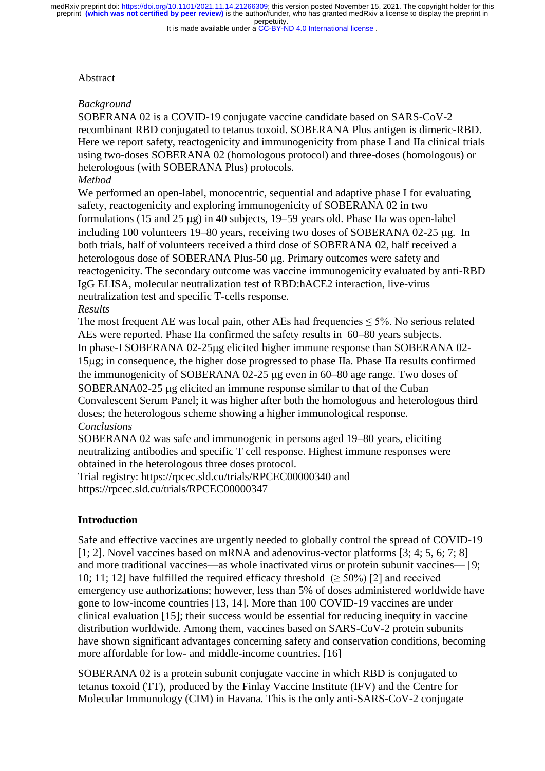It is made available under a CC-BY-ND 4.0 International license.

#### Abstract

## *Background*

SOBERANA 02 is a COVID-19 conjugate vaccine candidate based on SARS-CoV-2 recombinant RBD conjugated to tetanus toxoid. SOBERANA Plus antigen is dimeric-RBD. Here we report safety, reactogenicity and immunogenicity from phase I and IIa clinical trials using two-doses SOBERANA 02 (homologous protocol) and three-doses (homologous) or heterologous (with SOBERANA Plus) protocols.

# *Method*

We performed an open-label, monocentric, sequential and adaptive phase I for evaluating safety, reactogenicity and exploring immunogenicity of SOBERANA 02 in two formulations (15 and 25  $\mu$ g) in 40 subjects, 19–59 years old. Phase IIa was open-label including 100 volunteers 19–80 years, receiving two doses of SOBERANA 02-25 µg. In both trials, half of volunteers received a third dose of SOBERANA 02, half received a heterologous dose of SOBERANA Plus-50 µg. Primary outcomes were safety and reactogenicity. The secondary outcome was vaccine immunogenicity evaluated by anti-RBD IgG ELISA, molecular neutralization test of RBD:hACE2 interaction, live-virus neutralization test and specific T-cells response. *Results*

The most frequent AE was local pain, other AEs had frequencies  $\leq$  5%. No serious related AEs were reported. Phase IIa confirmed the safety results in 60–80 years subjects. In phase-I SOBERANA 02-25 ug elicited higher immune response than SOBERANA 02-15g; in consequence, the higher dose progressed to phase IIa. Phase IIa results confirmed the immunogenicity of SOBERANA 02-25 µg even in 60–80 age range. Two doses of SOBERANA02-25 µg elicited an immune response similar to that of the Cuban Convalescent Serum Panel; it was higher after both the homologous and heterologous third doses; the heterologous scheme showing a higher immunological response. *Conclusions*

SOBERANA 02 was safe and immunogenic in persons aged 19–80 years, eliciting neutralizing antibodies and specific T cell response. Highest immune responses were obtained in the heterologous three doses protocol.

Trial registry:<https://rpcec.sld.cu/trials/RPCEC00000340> and <https://rpcec.sld.cu/trials/RPCEC00000347>

## **Introduction**

Safe and effective vaccines are urgently needed to globally control the spread of COVID-19 [1; 2]. Novel vaccines based on mRNA and adenovirus-vector platforms [3; 4; 5, 6; 7; 8] and more traditional vaccines—as whole inactivated virus or protein subunit vaccines— [9; 10; 11; 12] have fulfilled the required efficacy threshold (≥ 50%) [2] and received emergency use authorizations; however, less than 5% of doses administered worldwide have gone to low-income countries [13, 14]. More than 100 COVID-19 vaccines are under clinical evaluation [15]; their success would be essential for reducing inequity in vaccine distribution worldwide. Among them, vaccines based on SARS-CoV-2 protein subunits have shown significant advantages concerning safety and conservation conditions, becoming more affordable for low- and middle-income countries. [16]

SOBERANA 02 is a protein subunit conjugate vaccine in which RBD is conjugated to tetanus toxoid (TT), produced by the Finlay Vaccine Institute (IFV) and the Centre for Molecular Immunology (CIM) in Havana. This is the only anti-SARS-CoV-2 conjugate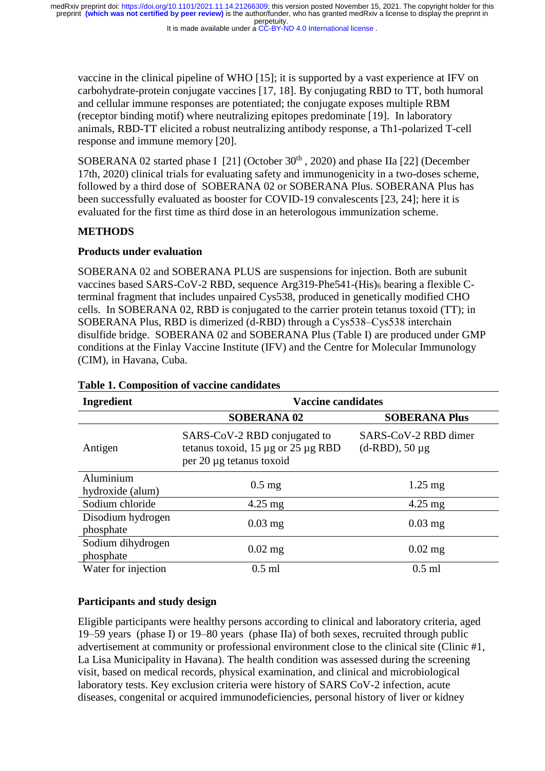It is made available under a CC-BY-ND 4.0 International license.

vaccine in the clinical pipeline of WHO [15]; it is supported by a vast experience at IFV on carbohydrate-protein conjugate vaccines [17, 18]. By conjugating RBD to TT, both humoral and cellular immune responses are potentiated; the conjugate exposes multiple RBM (receptor binding motif) where neutralizing epitopes predominate [19]. In laboratory animals, RBD-TT elicited a robust neutralizing antibody response, a Th1-polarized T-cell response and immune memory [20].

SOBERANA 02 started phase I  $[21]$  (October 30<sup>th</sup>, 2020) and phase IIa  $[22]$  (December 17th, 2020) clinical trials for evaluating safety and immunogenicity in a two-doses scheme, followed by a third dose of SOBERANA 02 or SOBERANA Plus. SOBERANA Plus has been successfully evaluated as booster for COVID-19 convalescents [23, 24]; here it is evaluated for the first time as third dose in an heterologous immunization scheme.

# **METHODS**

## **Products under evaluation**

SOBERANA 02 and SOBERANA PLUS are suspensions for injection. Both are subunit vaccines based SARS-CoV-2 RBD, sequence Arg319-Phe541-(His)<sub>6</sub> bearing a flexible Cterminal fragment that includes unpaired Cys538, produced in genetically modified CHO cells. In SOBERANA 02, RBD is conjugated to the carrier protein tetanus toxoid (TT); in SOBERANA Plus, RBD is dimerized (d-RBD) through a Cys538–Cys538 interchain disulfide bridge. SOBERANA 02 and SOBERANA Plus (Table I) are produced under GMP conditions at the Finlay Vaccine Institute (IFV) and the Centre for Molecular Immunology (CIM), in Havana, Cuba.

| <b>Ingredient</b>              | <b>Vaccine candidates</b>                                                                      |                                           |  |  |
|--------------------------------|------------------------------------------------------------------------------------------------|-------------------------------------------|--|--|
|                                | <b>SOBERANA 02</b>                                                                             | <b>SOBERANA Plus</b>                      |  |  |
| Antigen                        | SARS-CoV-2 RBD conjugated to<br>tetanus toxoid, 15 µg or 25 µg RBD<br>per 20 µg tetanus toxoid | SARS-CoV-2 RBD dimer<br>$(d-RBD)$ , 50 µg |  |  |
| Aluminium<br>hydroxide (alum)  | $0.5$ mg                                                                                       | $1.25$ mg                                 |  |  |
| Sodium chloride                | $4.25 \text{ mg}$                                                                              | $4.25 \text{ mg}$                         |  |  |
| Disodium hydrogen<br>phosphate | $0.03$ mg                                                                                      | $0.03$ mg                                 |  |  |
| Sodium dihydrogen<br>phosphate | $0.02$ mg                                                                                      | $0.02$ mg                                 |  |  |
| Water for injection            | $0.5$ ml                                                                                       | $0.5$ ml                                  |  |  |

## **Table 1. Composition of vaccine candidates**

# **Participants and study design**

Eligible participants were healthy persons according to clinical and laboratory criteria, aged 19–59 years (phase I) or 19–80 years (phase IIa) of both sexes, recruited through public advertisement at community or professional environment close to the clinical site (Clinic #1, La Lisa Municipality in Havana). The health condition was assessed during the screening visit, based on medical records, physical examination, and clinical and microbiological laboratory tests. Key exclusion criteria were history of SARS CoV-2 infection, acute diseases, congenital or acquired immunodeficiencies, personal history of liver or kidney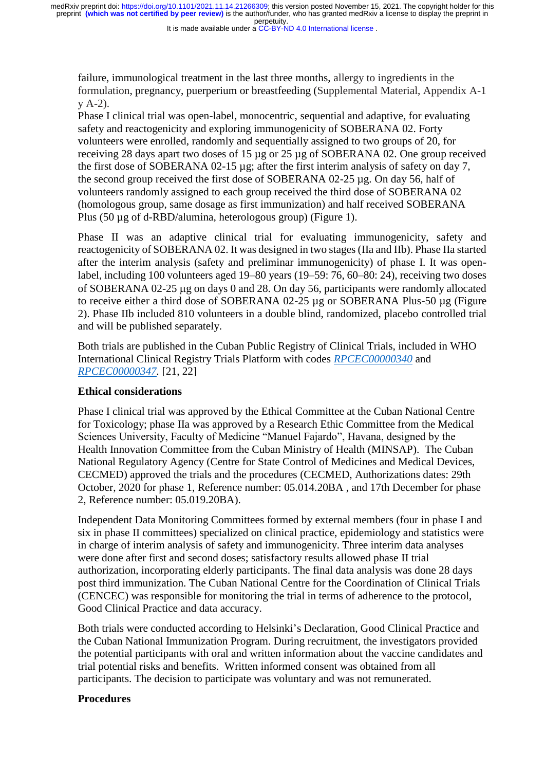It is made available under a CC-BY-ND 4.0 International license.

failure, immunological treatment in the last three months, allergy to ingredients in the formulation, pregnancy, puerperium or breastfeeding (Supplemental Material, Appendix A-1 y A-2).

Phase I clinical trial was open-label, monocentric, sequential and adaptive, for evaluating safety and reactogenicity and exploring immunogenicity of SOBERANA 02. Forty volunteers were enrolled, randomly and sequentially assigned to two groups of 20, for receiving 28 days apart two doses of 15 µg or 25 µg of SOBERANA 02. One group received the first dose of SOBERANA 02-15 µg; after the first interim analysis of safety on day 7, the second group received the first dose of SOBERANA 02-25 µg. On day 56, half of volunteers randomly assigned to each group received the third dose of SOBERANA 02 (homologous group, same dosage as first immunization) and half received SOBERANA Plus (50 µg of d-RBD/alumina, heterologous group) (Figure 1).

Phase II was an adaptive clinical trial for evaluating immunogenicity, safety and reactogenicity of SOBERANA 02. It was designed in two stages (IIa and IIb). Phase IIa started after the interim analysis (safety and preliminar immunogenicity) of phase I. It was openlabel, including 100 volunteers aged 19–80 years (19–59: 76, 60–80: 24), receiving two doses of SOBERANA 02-25  $\mu$ g on days 0 and 28. On day 56, participants were randomly allocated to receive either a third dose of SOBERANA 02-25 µg or SOBERANA Plus-50 µg (Figure 2). Phase IIb included 810 volunteers in a double blind, randomized, placebo controlled trial and will be published separately.

Both trials are published in the Cuban Public Registry of Clinical Trials, included in WHO International Clinical Registry Trials Platform with codes *[RPCEC00000340](file:///C:/Users/Lila/Desktop/DAGMAR%2020%20OCT%20VER%201/RPCEC00000340)* and *[RPCEC00000347.](https://rpcec.sld.cu/trials/RPCEC00000347)* [21, 22]

#### **Ethical considerations**

Phase I clinical trial was approved by the Ethical Committee at the Cuban National Centre for Toxicology; phase IIa was approved by a Research Ethic Committee from the Medical Sciences University, Faculty of Medicine "Manuel Fajardo", Havana, designed by the Health Innovation Committee from the Cuban Ministry of Health (MINSAP). The Cuban National Regulatory Agency (Centre for State Control of Medicines and Medical Devices, CECMED) approved the trials and the procedures (CECMED, Authorizations dates: 29th October, 2020 for phase 1, Reference number: 05.014.20BA , and 17th December for phase 2, Reference number: 05.019.20BA).

Independent Data Monitoring Committees formed by external members (four in phase I and six in phase II committees) specialized on clinical practice, epidemiology and statistics were in charge of interim analysis of safety and immunogenicity. Three interim data analyses were done after first and second doses; satisfactory results allowed phase II trial authorization, incorporating elderly participants. The final data analysis was done 28 days post third immunization. The Cuban National Centre for the Coordination of Clinical Trials (CENCEC) was responsible for monitoring the trial in terms of adherence to the protocol, Good Clinical Practice and data accuracy.

Both trials were conducted according to Helsinki's Declaration, Good Clinical Practice and the Cuban National Immunization Program. During recruitment, the investigators provided the potential participants with oral and written information about the vaccine candidates and trial potential risks and benefits. Written informed consent was obtained from all participants. The decision to participate was voluntary and was not remunerated.

## **Procedures**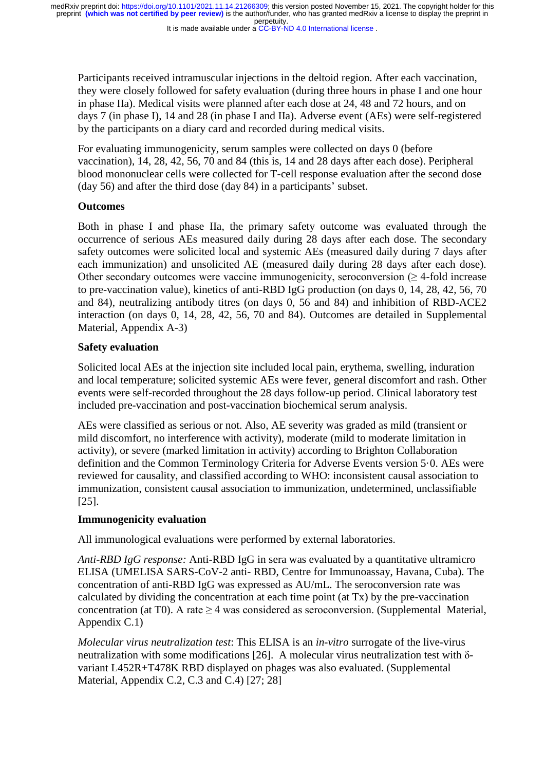It is made available under a CC-BY-ND 4.0 International license.

Participants received intramuscular injections in the deltoid region. After each vaccination, they were closely followed for safety evaluation (during three hours in phase I and one hour in phase IIa). Medical visits were planned after each dose at 24, 48 and 72 hours, and on days 7 (in phase I), 14 and 28 (in phase I and IIa). Adverse event (AEs) were self-registered by the participants on a diary card and recorded during medical visits.

For evaluating immunogenicity, serum samples were collected on days 0 (before vaccination), 14, 28, 42, 56, 70 and 84 (this is, 14 and 28 days after each dose). Peripheral blood mononuclear cells were collected for T-cell response evaluation after the second dose (day 56) and after the third dose (day 84) in a participants' subset.

## **Outcomes**

Both in phase I and phase IIa, the primary safety outcome was evaluated through the occurrence of serious AEs measured daily during 28 days after each dose. The secondary safety outcomes were solicited local and systemic AEs (measured daily during 7 days after each immunization) and unsolicited AE (measured daily during 28 days after each dose). Other secondary outcomes were vaccine immunogenicity, seroconversion  $(\geq 4$ -fold increase to pre-vaccination value), kinetics of anti-RBD IgG production (on days 0, 14, 28, 42, 56, 70 and 84), neutralizing antibody titres (on days 0, 56 and 84) and inhibition of RBD-ACE2 interaction (on days 0, 14, 28, 42, 56, 70 and 84). Outcomes are detailed in Supplemental Material, Appendix A-3)

# **Safety evaluation**

Solicited local AEs at the injection site included local pain, erythema, swelling, induration and local temperature; solicited systemic AEs were fever, general discomfort and rash. Other events were self-recorded throughout the 28 days follow-up period. Clinical laboratory test included pre-vaccination and post-vaccination biochemical serum analysis.

AEs were classified as serious or not. Also, AE severity was graded as mild (transient or mild discomfort, no interference with activity), moderate (mild to moderate limitation in activity), or severe (marked limitation in activity) according to Brighton Collaboration definition and the Common Terminology Criteria for Adverse Events version 5·0. AEs were reviewed for causality, and classified according to WHO: inconsistent causal association to immunization, consistent causal association to immunization, undetermined, unclassifiable [25].

## **Immunogenicity evaluation**

All immunological evaluations were performed by external laboratories.

*Anti-RBD IgG response:* Anti-RBD IgG in sera was evaluated by a quantitative ultramicro ELISA (UMELISA SARS-CoV-2 anti- RBD, Centre for Immunoassay, Havana, Cuba). The concentration of anti-RBD IgG was expressed as AU/mL. The seroconversion rate was calculated by dividing the concentration at each time point (at Tx) by the pre-vaccination concentration (at T0). A rate  $\geq$  4 was considered as seroconversion. (Supplemental Material, Appendix C.1)

*Molecular virus neutralization test*: This ELISA is an *in-vitro* surrogate of the live-virus neutralization with some modifications [26]. A molecular virus neutralization test with δvariant L452R+T478K RBD displayed on phages was also evaluated. (Supplemental Material, Appendix C.2, C.3 and C.4) [27; 28]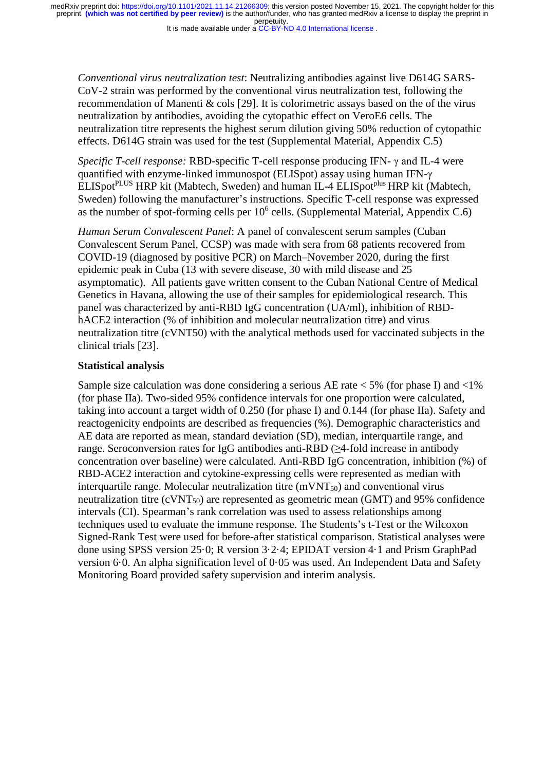It is made available under a CC-BY-ND 4.0 International license.

*Conventional virus neutralization test*: Neutralizing antibodies against live D614G SARS-CoV-2 strain was performed by the conventional virus neutralization test, following the recommendation of Manenti & cols [29]. It is colorimetric assays based on the of the virus neutralization by antibodies, avoiding the cytopathic effect on VeroE6 cells. The neutralization titre represents the highest serum dilution giving 50% reduction of cytopathic effects. D614G strain was used for the test (Supplemental Material, Appendix C.5)

*Specific T-cell response:* RBD-specific T-cell response producing IFN- γ and IL-4 were quantified with enzyme-linked immunospot (ELISpot) assay using human IFN-γ ELISpot<sup>PLUS</sup> HRP kit (Mabtech, Sweden) and human IL-4 ELISpot<sup>plus</sup> HRP kit (Mabtech, Sweden) following the manufacturer's instructions. Specific T-cell response was expressed as the number of spot-forming cells per  $10<sup>6</sup>$  cells. (Supplemental Material, Appendix C.6)

*Human Serum Convalescent Panel*: A panel of convalescent serum samples (Cuban Convalescent Serum Panel, CCSP) was made with sera from 68 patients recovered from COVID-19 (diagnosed by positive PCR) on March–November 2020, during the first epidemic peak in Cuba (13 with severe disease, 30 with mild disease and 25 asymptomatic). All patients gave written consent to the Cuban National Centre of Medical Genetics in Havana, allowing the use of their samples for epidemiological research. This panel was characterized by anti-RBD IgG concentration (UA/ml), inhibition of RBDhACE2 interaction (% of inhibition and molecular neutralization titre) and virus neutralization titre (cVNT50) with the analytical methods used for vaccinated subjects in the clinical trials [23].

## **Statistical analysis**

Sample size calculation was done considering a serious AE rate  $<$  5% (for phase I) and  $<$  1% (for phase IIa). Two-sided 95% confidence intervals for one proportion were calculated, taking into account a target width of 0.250 (for phase I) and 0.144 (for phase IIa). Safety and reactogenicity endpoints are described as frequencies (%). Demographic characteristics and AE data are reported as mean, standard deviation (SD), median, interquartile range, and range. Seroconversion rates for IgG antibodies anti-RBD (≥4-fold increase in antibody concentration over baseline) were calculated. Anti-RBD IgG concentration, inhibition (%) of RBD-ACE2 interaction and cytokine-expressing cells were represented as median with interquartile range. Molecular neutralization titre  $(mVNT<sub>50</sub>)$  and conventional virus neutralization titre  $\text{(cVNT}_{50})$  are represented as geometric mean  $\text{(GMT)}$  and 95% confidence intervals (CI). Spearman's rank correlation was used to assess relationships among techniques used to evaluate the immune response. The Students's t-Test or the Wilcoxon Signed-Rank Test were used for before-after statistical comparison. Statistical analyses were done using SPSS version 25·0; R version 3·2·4; EPIDAT version 4·1 and Prism GraphPad version 6·0. An alpha signification level of 0·05 was used. An Independent Data and Safety Monitoring Board provided safety supervision and interim analysis.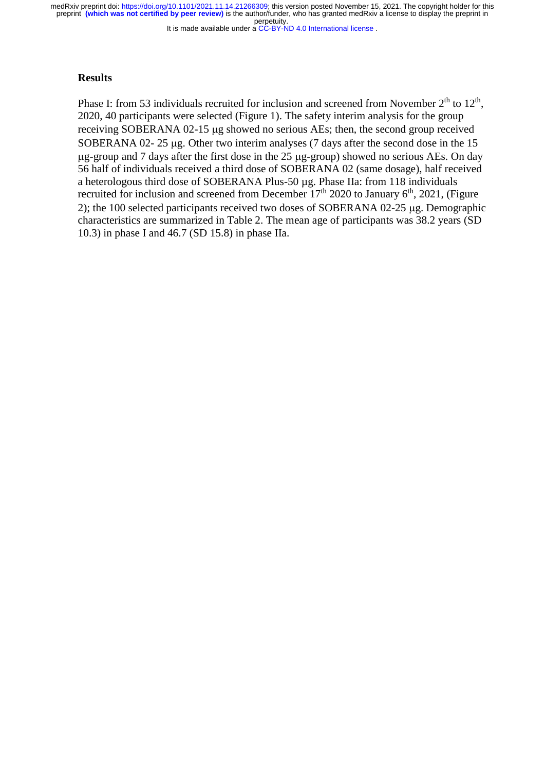It is made available under a CC-BY-ND 4.0 International license.

#### **Results**

Phase I: from 53 individuals recruited for inclusion and screened from November  $2<sup>th</sup>$  to  $12<sup>th</sup>$ , 2020, 40 participants were selected (Figure 1). The safety interim analysis for the group receiving SOBERANA 02-15 µg showed no serious AEs; then, the second group received SOBERANA  $02-25 \mu$ g. Other two interim analyses (7 days after the second dose in the 15  $\mu$ g-group and 7 days after the first dose in the 25  $\mu$ g-group) showed no serious AEs. On day 56 half of individuals received a third dose of SOBERANA 02 (same dosage), half received a heterologous third dose of SOBERANA Plus-50 µg. Phase IIa: from 118 individuals recruited for inclusion and screened from December  $17<sup>th</sup>$  2020 to January  $6<sup>th</sup>$ , 2021, (Figure 2); the 100 selected participants received two doses of SOBERANA 02-25  $\mu$ g. Demographic characteristics are summarized in Table 2. The mean age of participants was 38.2 years (SD 10.3) in phase I and 46.7 (SD 15.8) in phase IIa.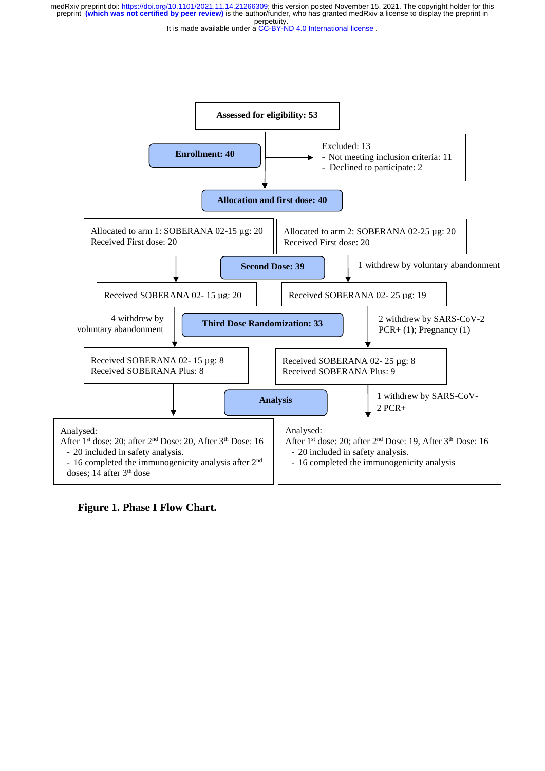



**Figure 1. Phase I Flow Chart.**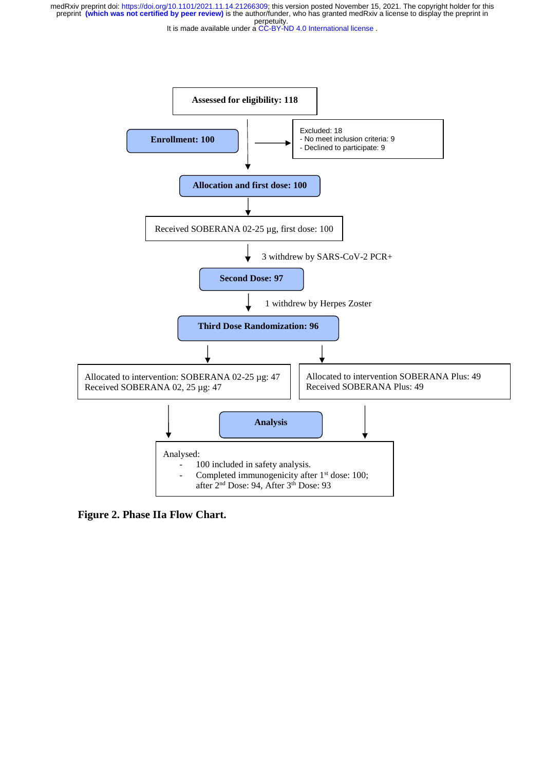It is made available under a CC-BY-ND 4.0 International license.



**Figure 2. Phase IIa Flow Chart.**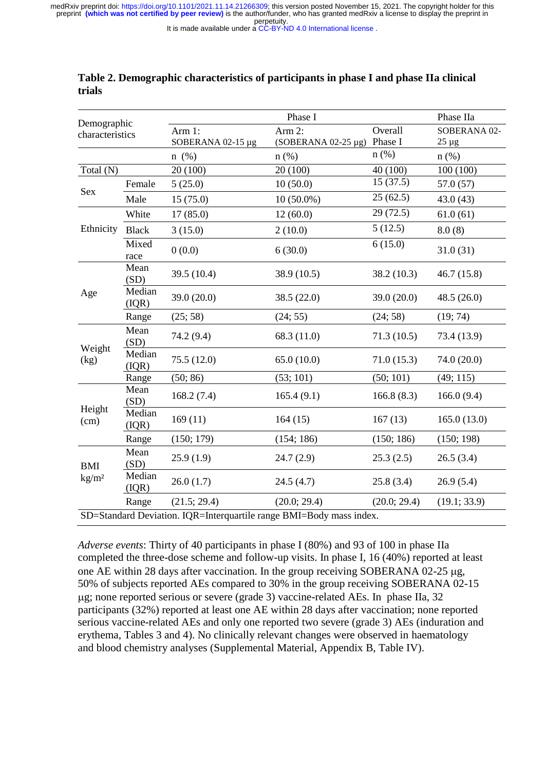It is made available under a CC-BY-ND 4.0 International license.

| Demographic<br>characteristics                                      |                 | Phase I           |                             |              | Phase IIa     |  |
|---------------------------------------------------------------------|-----------------|-------------------|-----------------------------|--------------|---------------|--|
|                                                                     |                 | Arm 1:            | Arm $2$ :                   | Overall      | SOBERANA 02-  |  |
|                                                                     |                 | SOBERANA 02-15 µg | (SOBERANA 02-25 µg) Phase I |              | $25 \mu g$    |  |
|                                                                     |                 | $n \ (\%)$        | $n$ (%)                     | n(%)         | $n$ (%)       |  |
| Total (N)                                                           |                 | 20 (100)          | 20 (100)                    | 40 (100)     | 100(100)      |  |
| Sex                                                                 | Female          | 5(25.0)           | 10(50.0)                    | 15(37.5)     | 57.0(57)      |  |
|                                                                     | Male            | 15(75.0)          | $10(50.0\%)$                | 25(62.5)     | 43.0(43)      |  |
| Ethnicity                                                           | White           | 17(85.0)          | 12(60.0)                    | 29(72.5)     | 61.0(61)      |  |
|                                                                     | <b>Black</b>    | 3(15.0)           | 2(10.0)                     | 5(12.5)      | 8.0(8)        |  |
|                                                                     | Mixed<br>race   | 0(0.0)            | 6(30.0)                     | 6(15.0)      | 31.0(31)      |  |
| Age                                                                 | Mean<br>(SD)    | 39.5 (10.4)       | 38.9 (10.5)                 | 38.2(10.3)   | 46.7(15.8)    |  |
|                                                                     | Median<br>(IQR) | 39.0 (20.0)       | 38.5 (22.0)                 | 39.0(20.0)   | 48.5 $(26.0)$ |  |
|                                                                     | Range           | (25; 58)          | (24; 55)                    | (24; 58)     | (19; 74)      |  |
| Weight<br>(kg)                                                      | Mean<br>(SD)    | 74.2 (9.4)        | 68.3 (11.0)                 | 71.3(10.5)   | 73.4 (13.9)   |  |
|                                                                     | Median<br>(IQR) | 75.5 (12.0)       | 65.0(10.0)                  | 71.0(15.3)   | 74.0 (20.0)   |  |
|                                                                     | Range           | (50; 86)          | (53; 101)                   | (50; 101)    | (49; 115)     |  |
| Height<br>(cm)                                                      | Mean<br>(SD)    | 168.2(7.4)        | 165.4(9.1)                  | 166.8(8.3)   | 166.0(9.4)    |  |
|                                                                     | Median<br>(IQR) | 169(11)           | 164(15)                     | 167(13)      | 165.0(13.0)   |  |
|                                                                     | Range           | (150; 179)        | (154; 186)                  | (150; 186)   | (150; 198)    |  |
| <b>BMI</b><br>$\text{kg}/\text{m}^2$                                | Mean<br>(SD)    | 25.9(1.9)         | 24.7(2.9)                   | 25.3(2.5)    | 26.5(3.4)     |  |
|                                                                     | Median<br>(IQR) | 26.0(1.7)         | 24.5(4.7)                   | 25.8(3.4)    | 26.9(5.4)     |  |
|                                                                     | Range           | (21.5; 29.4)      | (20.0; 29.4)                | (20.0; 29.4) | (19.1; 33.9)  |  |
| SD=Standard Deviation. IQR=Interquartile range BMI=Body mass index. |                 |                   |                             |              |               |  |

## **Table 2. Demographic characteristics of participants in phase I and phase IIa clinical trials**

*Adverse events*: Thirty of 40 participants in phase I (80%) and 93 of 100 in phase IIa completed the three-dose scheme and follow-up visits. In phase I, 16 (40%) reported at least one AE within 28 days after vaccination. In the group receiving SOBERANA 02-25  $\mu$ g, 50% of subjects reported AEs compared to 30% in the group receiving SOBERANA 02-15 g; none reported serious or severe (grade 3) vaccine-related AEs. In phase IIa, 32 participants (32%) reported at least one AE within 28 days after vaccination; none reported serious vaccine-related AEs and only one reported two severe (grade 3) AEs (induration and erythema, Tables 3 and 4). No clinically relevant changes were observed in haematology and blood chemistry analyses (Supplemental Material, Appendix B, Table IV).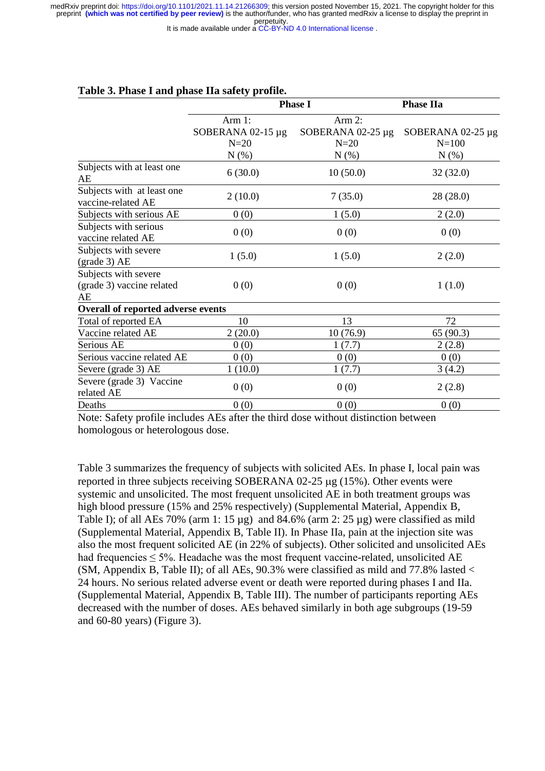It is made available under a CC-BY-ND 4.0 International license.

|                                                          | <b>Phase I</b>         |                        | <b>Phase IIa</b>  |  |
|----------------------------------------------------------|------------------------|------------------------|-------------------|--|
|                                                          | Arm 1:                 | Arm 2:                 |                   |  |
|                                                          | SOBERANA $02-15 \mu g$ | SOBERANA $02-25 \mu g$ | SOBERANA 02-25 µg |  |
|                                                          | $N=20$                 | $N=20$                 | $N = 100$         |  |
|                                                          | $N(\%)$                | $N(\%)$                | $N(\%)$           |  |
| Subjects with at least one<br>AE                         | 6(30.0)                | 10(50.0)               | 32(32.0)          |  |
| Subjects with at least one<br>vaccine-related AE         | 2(10.0)                | 7(35.0)                | 28(28.0)          |  |
| Subjects with serious AE                                 | 0(0)                   | 1(5.0)                 | 2(2.0)            |  |
| Subjects with serious<br>vaccine related AE              | 0(0)                   | 0(0)                   | 0(0)              |  |
| Subjects with severe<br>$\left(\text{grade }3\right)$ AE | 1(5.0)                 | 1(5.0)                 | 2(2.0)            |  |
| Subjects with severe<br>(grade 3) vaccine related<br>AE  | 0(0)                   | 0(0)                   | 1(1.0)            |  |
| Overall of reported adverse events                       |                        |                        |                   |  |
| Total of reported EA                                     | 10                     | 13                     | 72                |  |
| Vaccine related AE                                       | 2(20.0)                | 10(76.9)               | 65 (90.3)         |  |
| Serious AE                                               | 0(0)                   | 1(7.7)                 | 2(2.8)            |  |
| Serious vaccine related AE                               | 0(0)                   | 0(0)                   | 0(0)              |  |
| Severe (grade 3) AE                                      | 1(10.0)                | 1(7.7)                 | 3(4.2)            |  |
| Severe (grade 3) Vaccine<br>related AE                   | 0(0)                   | 0(0)                   | 2(2.8)            |  |
| Deaths                                                   | 0(0)                   | 0(0)                   | 0(0)              |  |

#### **Table 3. Phase I and phase IIa safety profile.**

Note: Safety profile includes AEs after the third dose without distinction between homologous or heterologous dose.

Table 3 summarizes the frequency of subjects with solicited AEs. In phase I, local pain was reported in three subjects receiving SOBERANA  $02-25 \mu$ g (15%). Other events were systemic and unsolicited. The most frequent unsolicited AE in both treatment groups was high blood pressure (15% and 25% respectively) (Supplemental Material, Appendix B, Table I); of all AEs 70% (arm 1:  $15 \mu g$ ) and 84.6% (arm 2:  $25 \mu g$ ) were classified as mild (Supplemental Material, Appendix B, Table II). In Phase IIa, pain at the injection site was also the most frequent solicited AE (in 22% of subjects). Other solicited and unsolicited AEs had frequencies < 5%. Headache was the most frequent vaccine-related, unsolicited AE (SM, Appendix B, Table II); of all AEs, 90.3% were classified as mild and 77.8% lasted < 24 hours. No serious related adverse event or death were reported during phases I and IIa. (Supplemental Material, Appendix B, Table III). The number of participants reporting AEs decreased with the number of doses. AEs behaved similarly in both age subgroups (19-59 and 60-80 years) (Figure 3).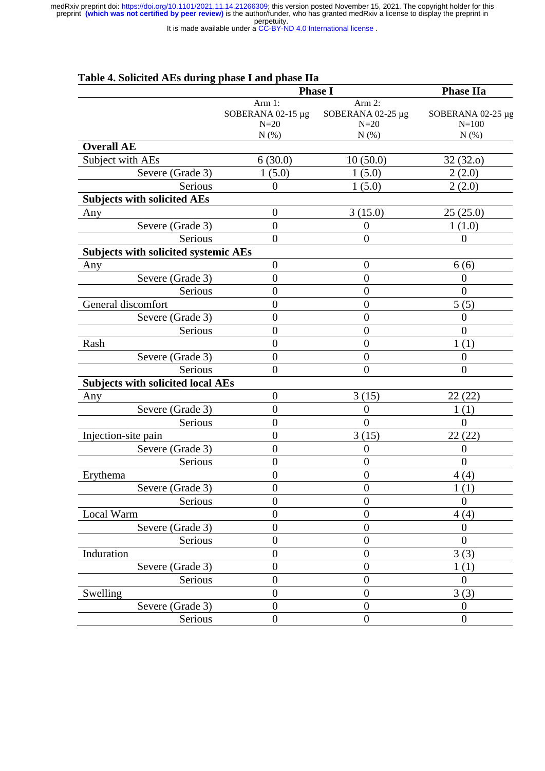It is made available under a CC-BY-ND 4.0 International license.

|                                             | Table 4. Solicited AEs during phase I and phase IIa<br><b>Phase I</b> |                   | <b>Phase IIa</b>  |  |
|---------------------------------------------|-----------------------------------------------------------------------|-------------------|-------------------|--|
|                                             | Arm 1:                                                                | Arm 2:            |                   |  |
|                                             | SOBERANA 02-15 $\mu$ g                                                | SOBERANA 02-25 µg | SOBERANA 02-25 µg |  |
|                                             | $N=20$                                                                | $N=20$            | $N = 100$         |  |
|                                             | N(%)                                                                  | N(%)              | N(%)              |  |
| <b>Overall AE</b>                           |                                                                       |                   |                   |  |
| Subject with AEs                            | 6(30.0)                                                               | 10(50.0)          | 32(32.0)          |  |
| Severe (Grade 3)                            | 1(5.0)                                                                | 1(5.0)            | 2(2.0)            |  |
| Serious                                     | $\overline{0}$                                                        | 1(5.0)            | 2(2.0)            |  |
| <b>Subjects with solicited AEs</b>          |                                                                       |                   |                   |  |
| Any                                         | $\overline{0}$                                                        | 3(15.0)           | 25(25.0)          |  |
| Severe (Grade 3)                            | $\boldsymbol{0}$                                                      | $\overline{0}$    | 1(1.0)            |  |
| Serious                                     | $\boldsymbol{0}$                                                      | $\overline{0}$    | 0                 |  |
| <b>Subjects with solicited systemic AEs</b> |                                                                       |                   |                   |  |
| Any                                         | $\boldsymbol{0}$                                                      | $\theta$          | 6(6)              |  |
| Severe (Grade 3)                            | $\overline{0}$                                                        | $\overline{0}$    | $\overline{0}$    |  |
| Serious                                     | $\overline{0}$                                                        | $\overline{0}$    | $\overline{0}$    |  |
| General discomfort                          | $\overline{0}$                                                        | $\overline{0}$    | 5(5)              |  |
| Severe (Grade 3)                            | $\overline{0}$                                                        | $\overline{0}$    | 0                 |  |
| Serious                                     | $\overline{0}$                                                        | $\boldsymbol{0}$  | 0                 |  |
| Rash                                        | $\overline{0}$                                                        | $\overline{0}$    | 1(1)              |  |
| Severe (Grade 3)                            | $\overline{0}$                                                        | $\boldsymbol{0}$  | 0                 |  |
| Serious                                     | $\overline{0}$                                                        | $\overline{0}$    | $\overline{0}$    |  |
| <b>Subjects with solicited local AEs</b>    |                                                                       |                   |                   |  |
| Any                                         | $\overline{0}$                                                        | 3(15)             | 22(22)            |  |
| Severe (Grade 3)                            | $\boldsymbol{0}$                                                      | $\theta$          | 1(1)              |  |
| Serious                                     | $\overline{0}$                                                        | $\overline{0}$    | $\overline{0}$    |  |
|                                             | $\boldsymbol{0}$                                                      |                   |                   |  |
| Injection-site pain                         | $\overline{0}$                                                        | 3(15)             | 22(22)            |  |
| Severe (Grade 3)                            |                                                                       | $\boldsymbol{0}$  | 0                 |  |
| Serious                                     | $\overline{0}$                                                        | $\boldsymbol{0}$  | $\Omega$          |  |
| Erythema                                    | $\boldsymbol{0}$                                                      | $\boldsymbol{0}$  | 4(4)              |  |
| Severe (Grade 3)                            | $\boldsymbol{0}$                                                      | $\boldsymbol{0}$  | 1(1)              |  |
| Serious                                     | $\overline{0}$                                                        | $\boldsymbol{0}$  | $\Omega$          |  |
| Local Warm                                  | $\boldsymbol{0}$                                                      | $\overline{0}$    | 4(4)              |  |
| Severe (Grade 3)                            | $\boldsymbol{0}$                                                      | $\boldsymbol{0}$  | 0                 |  |
| Serious                                     | $\boldsymbol{0}$                                                      | $\overline{0}$    | $\Omega$          |  |
| Induration                                  | $\boldsymbol{0}$                                                      | $\boldsymbol{0}$  | 3(3)              |  |
| Severe (Grade 3)                            | $\boldsymbol{0}$                                                      | $\boldsymbol{0}$  | 1(1)              |  |
| Serious                                     | $\overline{0}$                                                        | $\overline{0}$    | $\theta$          |  |
| Swelling                                    | $\boldsymbol{0}$                                                      | $\boldsymbol{0}$  | 3(3)              |  |
| Severe (Grade 3)                            | $\boldsymbol{0}$                                                      | $\overline{0}$    | $\boldsymbol{0}$  |  |
| Serious                                     | $\boldsymbol{0}$                                                      | $\boldsymbol{0}$  | $\boldsymbol{0}$  |  |

# **Table 4. Solicited AEs during phase I and phase IIa**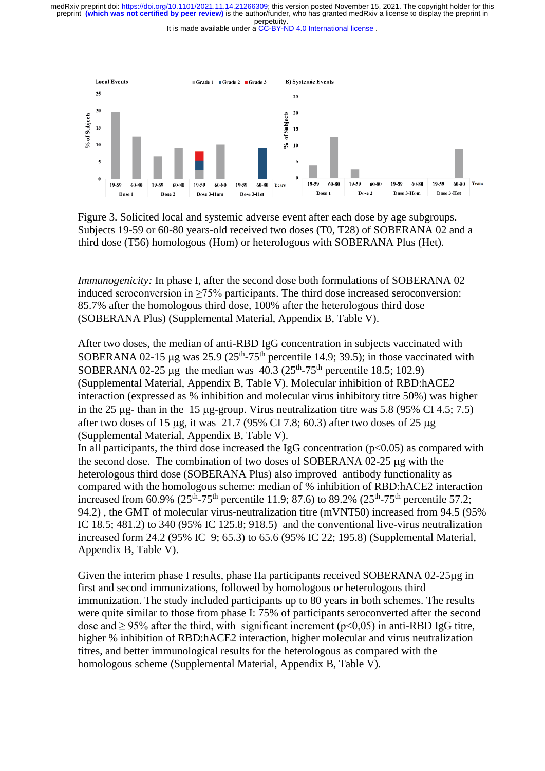It is made available under a CC-BY-ND 4.0 International license.



Figure 3. Solicited local and systemic adverse event after each dose by age subgroups. Subjects 19-59 or 60-80 years-old received two doses (T0, T28) of SOBERANA 02 and a third dose (T56) homologous (Hom) or heterologous with SOBERANA Plus (Het).

*Immunogenicity:* In phase I, after the second dose both formulations of SOBERANA 02 induced seroconversion in ≥75% participants. The third dose increased seroconversion: 85.7% after the homologous third dose, 100% after the heterologous third dose (SOBERANA Plus) (Supplemental Material, Appendix B, Table V).

After two doses, the median of anti-RBD IgG concentration in subjects vaccinated with SOBERANA 02-15 µg was  $25.9$  ( $25<sup>th</sup>-75<sup>th</sup>$  percentile 14.9; 39.5); in those vaccinated with SOBERANA 02-25 µg the median was  $40.3$  ( $25<sup>th</sup>$ -75<sup>th</sup> percentile 18.5; 102.9) (Supplemental Material, Appendix B, Table V). Molecular inhibition of RBD:hACE2 interaction (expressed as % inhibition and molecular virus inhibitory titre 50%) was higher in the 25  $\mu$ g- than in the 15  $\mu$ g-group. Virus neutralization titre was 5.8 (95% CI 4.5; 7.5) after two doses of 15  $\mu$ g, it was 21.7 (95% CI 7.8; 60.3) after two doses of 25  $\mu$ g (Supplemental Material, Appendix B, Table V).

In all participants, the third dose increased the IgG concentration ( $p<0.05$ ) as compared with the second dose. The combination of two doses of SOBERANA 02-25 µg with the heterologous third dose (SOBERANA Plus) also improved antibody functionality as compared with the homologous scheme: median of % inhibition of RBD:hACE2 interaction increased from 60.9%  $(25<sup>th</sup>-75<sup>th</sup>$  percentile 11.9; 87.6) to 89.2%  $(25<sup>th</sup>-75<sup>th</sup>$  percentile 57.2; 94.2) , the GMT of molecular virus-neutralization titre (mVNT50) increased from 94.5 (95% IC 18.5; 481.2) to 340 (95% IC 125.8; 918.5) and the conventional live-virus neutralization increased form 24.2 (95% IC 9; 65.3) to 65.6 (95% IC 22; 195.8) (Supplemental Material, Appendix B, Table V).

Given the interim phase I results, phase IIa participants received SOBERANA 02-25µg in first and second immunizations, followed by homologous or heterologous third immunization. The study included participants up to 80 years in both schemes. The results were quite similar to those from phase I: 75% of participants seroconverted after the second dose and  $\geq$  95% after the third, with significant increment ( $p$ <0,05) in anti-RBD IgG titre, higher % inhibition of RBD:hACE2 interaction, higher molecular and virus neutralization titres, and better immunological results for the heterologous as compared with the homologous scheme (Supplemental Material, Appendix B, Table V).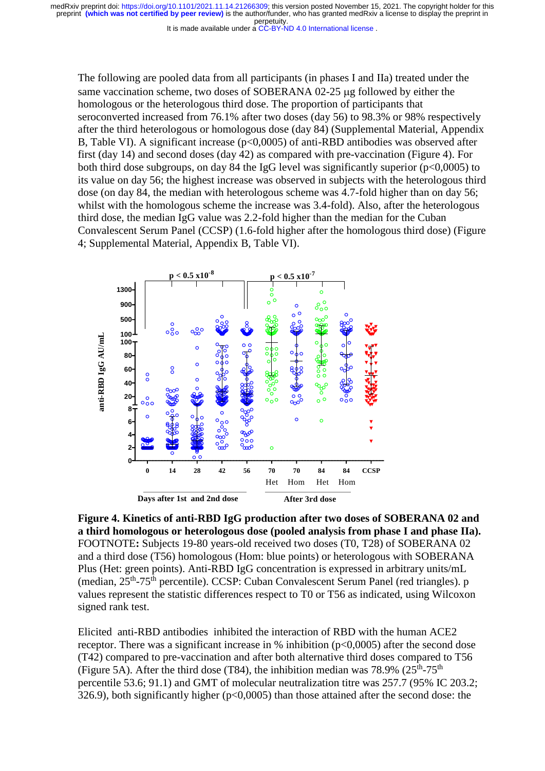It is made available under a CC-BY-ND 4.0 International license.

The following are pooled data from all participants (in phases I and IIa) treated under the same vaccination scheme, two doses of SOBERANA 02-25 µg followed by either the homologous or the heterologous third dose. The proportion of participants that seroconverted increased from 76.1% after two doses (day 56) to 98.3% or 98% respectively after the third heterologous or homologous dose (day 84) (Supplemental Material, Appendix B, Table VI). A significant increase ( $p<0,0005$ ) of anti-RBD antibodies was observed after first (day 14) and second doses (day 42) as compared with pre-vaccination (Figure 4). For both third dose subgroups, on day 84 the IgG level was significantly superior ( $p<0.0005$ ) to its value on day 56; the highest increase was observed in subjects with the heterologous third dose (on day 84, the median with heterologous scheme was 4.7-fold higher than on day 56; whilst with the homologous scheme the increase was 3.4-fold). Also, after the heterologous third dose, the median IgG value was 2.2-fold higher than the median for the Cuban Convalescent Serum Panel (CCSP) (1.6-fold higher after the homologous third dose) (Figure 4; Supplemental Material, Appendix B, Table VI).



**Figure 4. Kinetics of anti-RBD IgG production after two doses of SOBERANA 02 and a third homologous or heterologous dose (pooled analysis from phase I and phase IIa).**  FOOTNOTE**:** Subjects 19-80 years-old received two doses (T0, T28) of SOBERANA 02 and a third dose (T56) homologous (Hom: blue points) or heterologous with SOBERANA Plus (Het: green points). Anti-RBD IgG concentration is expressed in arbitrary units/mL (median, 25<sup>th</sup>-75<sup>th</sup> percentile). CCSP: Cuban Convalescent Serum Panel (red triangles). p values represent the statistic differences respect to T0 or T56 as indicated, using Wilcoxon signed rank test.

Elicited anti-RBD antibodies inhibited the interaction of RBD with the human ACE2 receptor. There was a significant increase in  $%$  inhibition ( $p<0,0005$ ) after the second dose (T42) compared to pre-vaccination and after both alternative third doses compared to T56 (Figure 5A). After the third dose (T84), the inhibition median was 78.9% ( $25^{\text{th}}$ -75<sup>th</sup>) percentile 53.6; 91.1) and GMT of molecular neutralization titre was 257.7 (95% IC 203.2; 326.9), both significantly higher (p<0,0005) than those attained after the second dose: the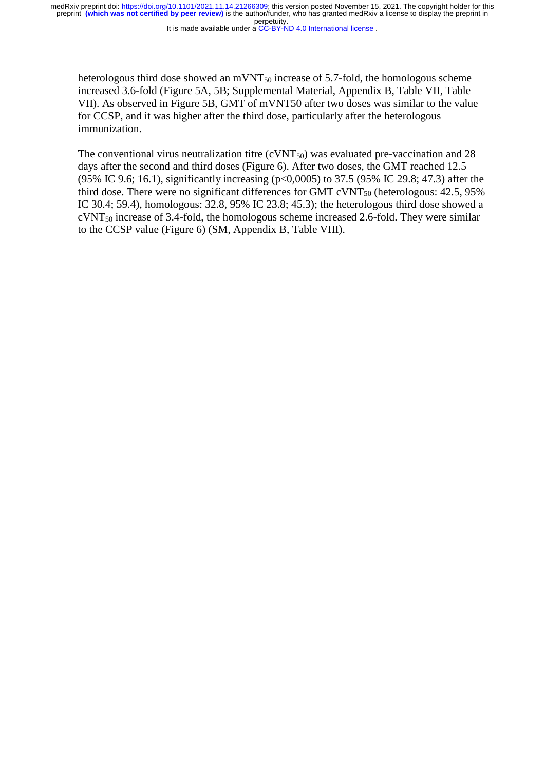It is made available under a CC-BY-ND 4.0 International license.

heterologous third dose showed an  $\text{mVNT}_{50}$  increase of 5.7-fold, the homologous scheme increased 3.6-fold (Figure 5A, 5B; Supplemental Material, Appendix B, Table VII, Table VII). As observed in Figure 5B, GMT of mVNT50 after two doses was similar to the value for CCSP, and it was higher after the third dose, particularly after the heterologous immunization.

The conventional virus neutralization titre (cVNT<sub>50</sub>) was evaluated pre-vaccination and 28 days after the second and third doses (Figure 6). After two doses, the GMT reached 12.5 (95% IC 9.6; 16.1), significantly increasing (p<0,0005) to 37.5 (95% IC 29.8; 47.3) after the third dose. There were no significant differences for GMT  $\text{c} \text{VNT}_{50}$  (heterologous: 42.5, 95%) IC 30.4; 59.4), homologous: 32.8, 95% IC 23.8; 45.3); the heterologous third dose showed a cVNT<sup>50</sup> increase of 3.4-fold, the homologous scheme increased 2.6-fold. They were similar to the CCSP value (Figure 6) (SM, Appendix B, Table VIII).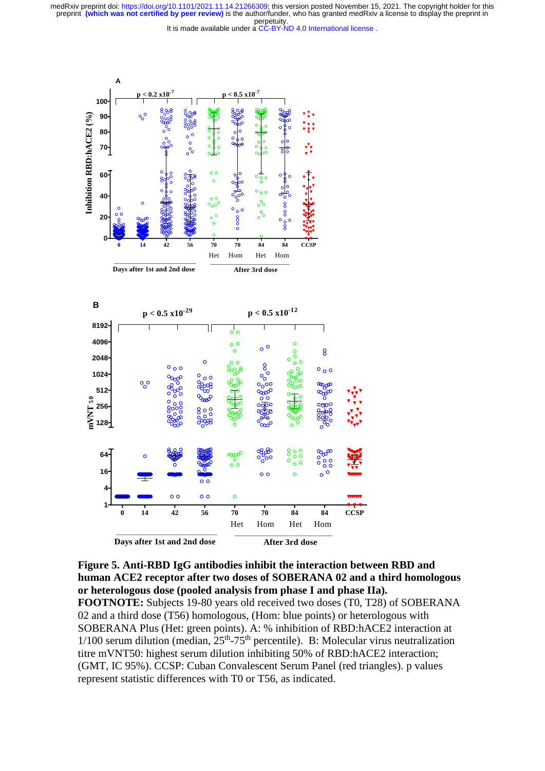It is made available under a CC-BY-ND 4.0 International license.



**Figure 5. Anti-RBD IgG antibodies inhibit the interaction between RBD and human ACE2 receptor after two doses of SOBERANA 02 and a third homologous or heterologous dose (pooled analysis from phase I and phase IIa).** 

**FOOTNOTE:** Subjects 19-80 years old received two doses (T0, T28) of SOBERANA 02 and a third dose (T56) homologous, (Hom: blue points) or heterologous with SOBERANA Plus (Het: green points). A: % inhibition of RBD:hACE2 interaction at  $1/100$  serum dilution (median,  $25<sup>th</sup>-75<sup>th</sup>$  percentile). B: Molecular virus neutralization titre mVNT50: highest serum dilution inhibiting 50% of RBD:hACE2 interaction; (GMT, IC 95%). CCSP: Cuban Convalescent Serum Panel (red triangles). p values represent statistic differences with T0 or T56, as indicated.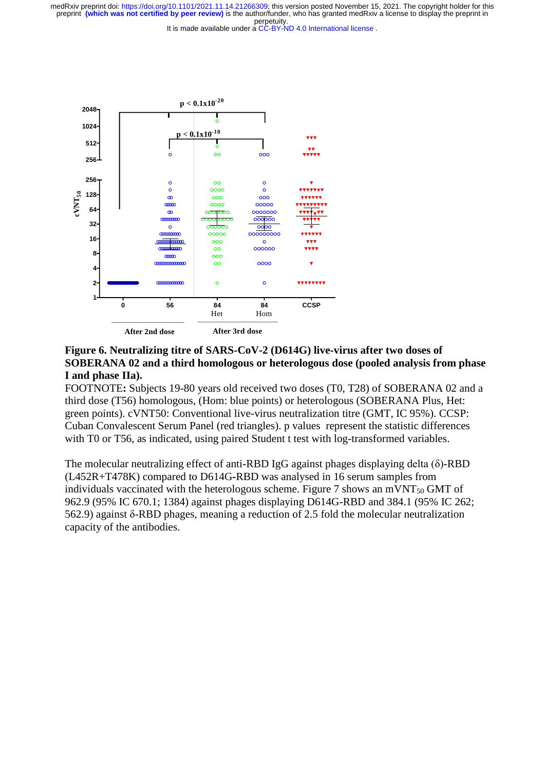It is made available under a CC-BY-ND 4.0 International license.



# **Figure 6. Neutralizing titre of SARS-CoV-2 (D614G) live-virus after two doses of SOBERANA 02 and a third homologous or heterologous dose (pooled analysis from phase I and phase IIa).**

FOOTNOTE**:** Subjects 19-80 years old received two doses (T0, T28) of SOBERANA 02 and a third dose (T56) homologous, (Hom: blue points) or heterologous (SOBERANA Plus, Het: green points). cVNT50: Conventional live-virus neutralization titre (GMT, IC 95%). CCSP: Cuban Convalescent Serum Panel (red triangles). p values represent the statistic differences with T0 or T56, as indicated, using paired Student t test with log-transformed variables.

The molecular neutralizing effect of anti-RBD IgG against phages displaying delta (δ)-RBD (L452R+T478K) compared to D614G**-**RBD was analysed in 16 serum samples from individuals vaccinated with the heterologous scheme. Figure 7 shows an mVNT $_{50}$  GMT of 962.9 (95% IC 670.1; 1384) against phages displaying D614G-RBD and 384.1 (95% IC 262; 562.9) against δ-RBD phages, meaning a reduction of 2.5 fold the molecular neutralization capacity of the antibodies.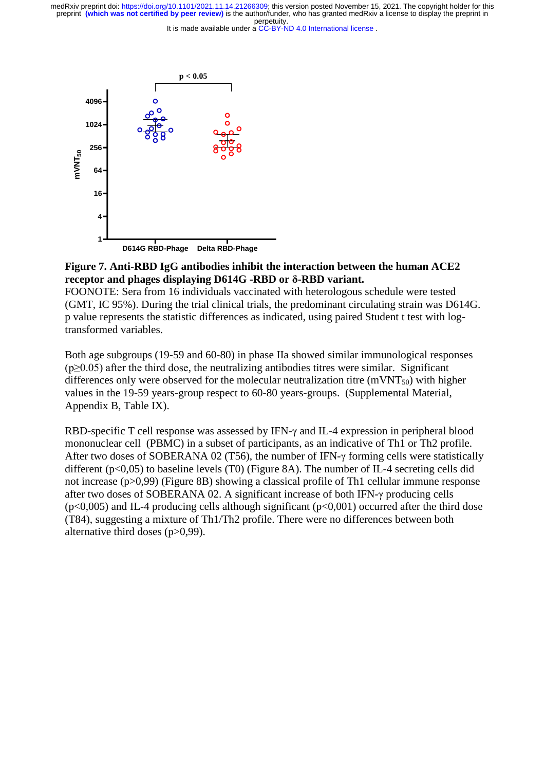It is made available under a CC-BY-ND 4.0 International license.



## **Figure 7. Anti-RBD IgG antibodies inhibit the interaction between the human ACE2 receptor and phages displaying D614G -RBD or δ-RBD variant.**

FOONOTE: Sera from 16 individuals vaccinated with heterologous schedule were tested (GMT, IC 95%). During the trial clinical trials, the predominant circulating strain was D614G. p value represents the statistic differences as indicated, using paired Student t test with logtransformed variables.

Both age subgroups (19-59 and 60-80) in phase IIa showed similar immunological responses  $(p>0.05)$  after the third dose, the neutralizing antibodies titres were similar. Significant differences only were observed for the molecular neutralization titre ( $mVNT<sub>50</sub>$ ) with higher values in the 19-59 years-group respect to 60-80 years-groups. (Supplemental Material, Appendix B, Table IX).

RBD-specific T cell response was assessed by IFN-γ and IL-4 expression in peripheral blood mononuclear cell (PBMC) in a subset of participants, as an indicative of Th1 or Th2 profile. After two doses of SOBERANA 02 (T56), the number of IFN-γ forming cells were statistically different  $(p<0.05)$  to baseline levels (T0) (Figure 8A). The number of IL-4 secreting cells did not increase (p>0,99) (Figure 8B) showing a classical profile of Th1 cellular immune response after two doses of SOBERANA 02. A significant increase of both IFN-γ producing cells  $(p<0.005)$  and IL-4 producing cells although significant  $(p<0.001)$  occurred after the third dose (T84), suggesting a mixture of Th1/Th2 profile. There were no differences between both alternative third doses (p>0,99).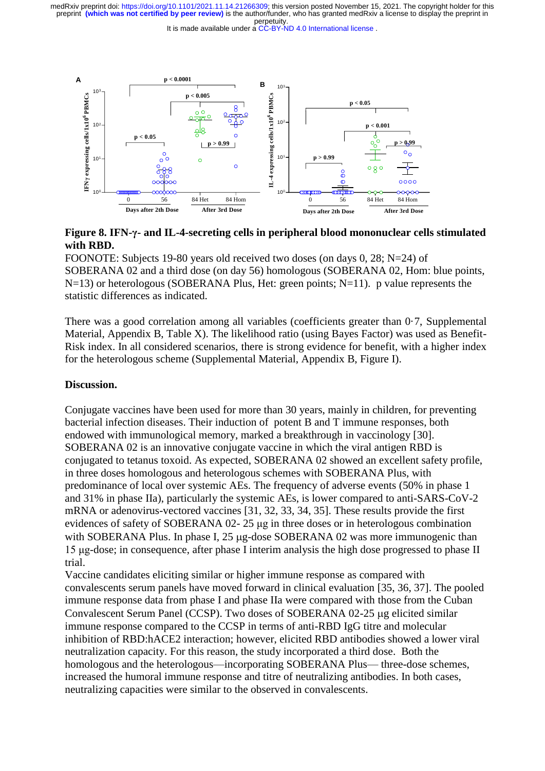It is made available under a CC-BY-ND 4.0 International license.



**Figure 8. IFN-γ- and IL-4-secreting cells in peripheral blood mononuclear cells stimulated with RBD.** 

FOONOTE: Subjects 19-80 years old received two doses (on days 0, 28; N=24) of SOBERANA 02 and a third dose (on day 56) homologous (SOBERANA 02, Hom: blue points,  $N=13$ ) or heterologous (SOBERANA Plus, Het: green points;  $N=11$ ). p value represents the statistic differences as indicated.

There was a good correlation among all variables (coefficients greater than 0·7, Supplemental Material, Appendix B, Table X). The likelihood ratio (using Bayes Factor) was used as Benefit-Risk index. In all considered scenarios, there is strong evidence for benefit, with a higher index for the heterologous scheme (Supplemental Material, Appendix B, Figure I).

#### **Discussion.**

Conjugate vaccines have been used for more than 30 years, mainly in children, for preventing bacterial infection diseases. Their induction of potent B and T immune responses, both endowed with immunological memory, marked a breakthrough in vaccinology [30]. SOBERANA 02 is an innovative conjugate vaccine in which the viral antigen RBD is conjugated to tetanus toxoid. As expected, SOBERANA 02 showed an excellent safety profile, in three doses homologous and heterologous schemes with SOBERANA Plus, with predominance of local over systemic AEs. The frequency of adverse events (50% in phase 1 and 31% in phase IIa), particularly the systemic AEs, is lower compared to anti-SARS-CoV-2 mRNA or adenovirus-vectored vaccines [31, 32, 33, 34, 35]. These results provide the first evidences of safety of SOBERANA 02- 25 μg in three doses or in heterologous combination with SOBERANA Plus. In phase I, 25 µg-dose SOBERANA 02 was more immunogenic than 15 μg-dose; in consequence, after phase I interim analysis the high dose progressed to phase II trial.

Vaccine candidates eliciting similar or higher immune response as compared with convalescents serum panels have moved forward in clinical evaluation [35, 36, 37]. The pooled immune response data from phase I and phase IIa were compared with those from the Cuban Convalescent Serum Panel (CCSP). Two doses of SOBERANA 02-25 µg elicited similar immune response compared to the CCSP in terms of anti-RBD IgG titre and molecular inhibition of RBD:hACE2 interaction; however, elicited RBD antibodies showed a lower viral neutralization capacity. For this reason, the study incorporated a third dose. Both the homologous and the heterologous—incorporating SOBERANA Plus— three-dose schemes, increased the humoral immune response and titre of neutralizing antibodies. In both cases, neutralizing capacities were similar to the observed in convalescents.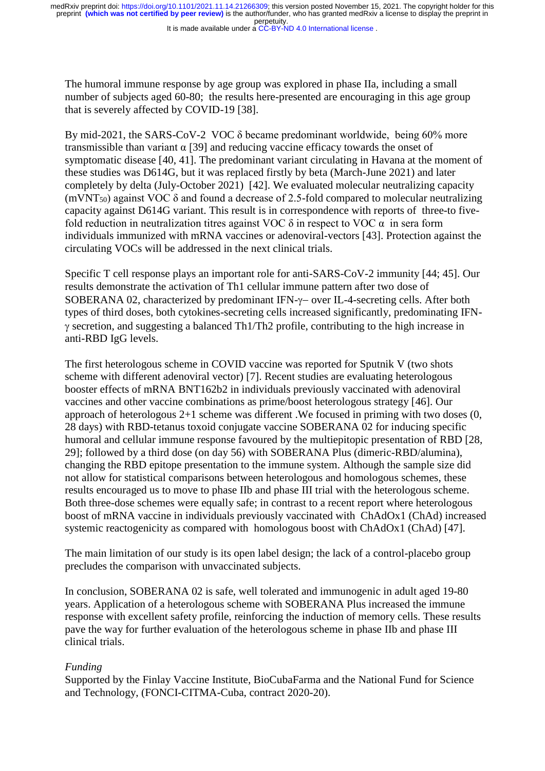It is made available under a CC-BY-ND 4.0 International license.

The humoral immune response by age group was explored in phase IIa, including a small number of subjects aged 60-80; the results here-presented are encouraging in this age group that is severely affected by COVID-19 [38].

By mid-2021, the SARS-CoV-2 VOC δ became predominant worldwide, being 60% more transmissible than variant  $\alpha$  [39] and reducing vaccine efficacy towards the onset of symptomatic disease [40, 41]. The predominant variant circulating in Havana at the moment of these studies was D614G, but it was replaced firstly by beta (March-June 2021) and later completely by delta (July-October 2021) [42]. We evaluated molecular neutralizing capacity (mVNT<sub>50</sub>) against VOC  $\delta$  and found a decrease of 2.5-fold compared to molecular neutralizing capacity against D614G variant. This result is in correspondence with reports of three-to fivefold reduction in neutralization titres against VOC  $\delta$  in respect to VOC  $\alpha$  in sera form individuals immunized with mRNA vaccines or adenoviral-vectors [43]. Protection against the circulating VOCs will be addressed in the next clinical trials.

Specific T cell response plays an important role for anti-SARS-CoV-2 immunity [44; 45]. Our results demonstrate the activation of Th1 cellular immune pattern after two dose of SOBERANA 02, characterized by predominant IFN- $\gamma$ – over IL-4-secreting cells. After both types of third doses, both cytokines-secreting cells increased significantly, predominating IFN-  $\gamma$  secretion, and suggesting a balanced Th1/Th2 profile, contributing to the high increase in anti-RBD IgG levels.

The first heterologous scheme in COVID vaccine was reported for Sputnik V (two shots scheme with different adenoviral vector) [7]. Recent studies are evaluating heterologous booster effects of mRNA BNT162b2 in individuals previously vaccinated with adenoviral vaccines and other vaccine combinations as prime/boost heterologous strategy [46]. Our approach of heterologous 2+1 scheme was different .We focused in priming with two doses (0, 28 days) with RBD-tetanus toxoid conjugate vaccine SOBERANA 02 for inducing specific humoral and cellular immune response favoured by the multiepitopic presentation of RBD [28, 29]; followed by a third dose (on day 56) with SOBERANA Plus (dimeric-RBD/alumina), changing the RBD epitope presentation to the immune system. Although the sample size did not allow for statistical comparisons between heterologous and homologous schemes, these results encouraged us to move to phase IIb and phase III trial with the heterologous scheme. Both three-dose schemes were equally safe; in contrast to a recent report where heterologous boost of mRNA vaccine in individuals previously vaccinated with ChAdOx1 (ChAd) increased systemic reactogenicity as compared with homologous boost with ChAdOx1 (ChAd) [47].

The main limitation of our study is its open label design; the lack of a control-placebo group precludes the comparison with unvaccinated subjects.

In conclusion, SOBERANA 02 is safe, well tolerated and immunogenic in adult aged 19-80 years. Application of a heterologous scheme with SOBERANA Plus increased the immune response with excellent safety profile, reinforcing the induction of memory cells. These results pave the way for further evaluation of the heterologous scheme in phase IIb and phase III clinical trials.

## *Funding*

Supported by the Finlay Vaccine Institute, BioCubaFarma and the National Fund for Science and Technology, (FONCI-CITMA-Cuba, contract 2020-20).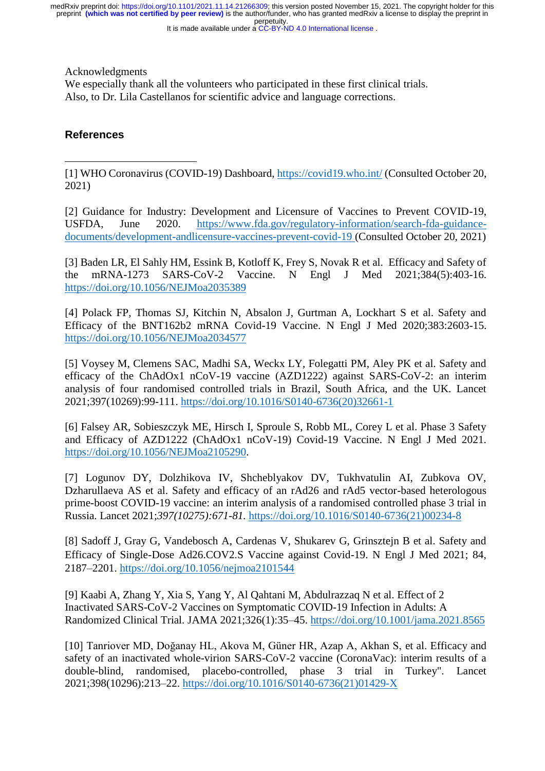It is made available under a CC-BY-ND 4.0 International license.

Acknowledgments

We especially thank all the volunteers who participated in these first clinical trials. Also, to Dr. Lila Castellanos for scientific advice and language corrections.

# **References**

 $\overline{a}$ 

[1] WHO Coronavirus (COVID-19) Dashboard,<https://covid19.who.int/> (Consulted October 20, 2021)

[2] Guidance for Industry: Development and Licensure of Vaccines to Prevent COVID-19, USFDA, June 2020. [https://www.fda.gov/regulatory-information/search-fda-guidance](https://www.fda.gov/regulatory-information/search-fda-guidance-documents/development-andlicensure-vaccines-prevent-covid-19)[documents/development-andlicensure-vaccines-prevent-covid-19](https://www.fda.gov/regulatory-information/search-fda-guidance-documents/development-andlicensure-vaccines-prevent-covid-19) (Consulted October 20, 2021)

[3] Baden LR, El Sahly HM, Essink B, Kotloff K, Frey S, Novak R et al. Efficacy and Safety of the mRNA-1273 SARS-CoV-2 Vaccine. N Engl J Med 2021;384(5):403-16. <https://doi.org/10.1056/NEJMoa2035389>

[4] Polack FP, Thomas SJ, Kitchin N, Absalon J, Gurtman A, Lockhart S et al. Safety and Efficacy of the BNT162b2 mRNA Covid-19 Vaccine. N Engl J Med 2020;383:2603-15. <https://doi.org/10.1056/NEJMoa2034577>

[5] Voysey M, Clemens SAC, Madhi SA, Weckx LY, Folegatti PM, Aley PK et al. Safety and efficacy of the ChAdOx1 nCoV-19 vaccine (AZD1222) against SARS-CoV-2: an interim analysis of four randomised controlled trials in Brazil, South Africa, and the UK. Lancet 2021;397(10269):99-111. [https://doi.org/10.1016/S0140-6736\(20\)32661-1](https://doi.org/10.1016/S0140-6736(20)32661-1)

[6] Falsey AR, Sobieszczyk ME, Hirsch I, Sproule S, Robb ML, Corey L et al. Phase 3 Safety and Efficacy of AZD1222 (ChAdOx1 nCoV-19) Covid-19 Vaccine. N Engl J Med 2021. [https://doi.org/10.1056/NEJMoa2105290.](https://doi.org/10.1056/NEJMoa2105290)

[7] Logunov DY, Dolzhikova IV, Shcheblyakov DV, Tukhvatulin AI, Zubkova OV, Dzharullaeva AS et al. Safety and efficacy of an rAd26 and rAd5 vector-based heterologous prime-boost COVID-19 vaccine: an interim analysis of a randomised controlled phase 3 trial in Russia. Lancet 2021;*397(10275):671-81.* https://doi.org[/10.1016/S0140-6736\(21\)00234-8](http://dx.doi.org/10.1016/S0140-6736(21)00234-8)

[8] Sadoff J, Gray G, Vandebosch A, Cardenas V, Shukarev G, Grinsztejn B et al. Safety and Efficacy of Single-Dose Ad26.COV2.S Vaccine against Covid-19. N Engl J Med 2021; 84, 2187–2201.<https://doi.org/10.1056/nejmoa2101544>

[9] Kaabi A, Zhang Y, Xia S, Yang Y, Al Qahtani M, Abdulrazzaq N et al. Effect of 2 Inactivated SARS-CoV-2 Vaccines on Symptomatic COVID-19 Infection in Adults: A Randomized Clinical Trial. JAMA 2021;326(1):35–45.<https://doi.org/10.1001/jama.2021.8565>

[10] Tanriover MD, Doğanay HL, Akova M, Güner HR, Azap A, Akhan S, et al. Efficacy and safety of an inactivated whole-virion SARS-CoV-2 vaccine (CoronaVac): interim results of a double-blind, randomised, placebo-controlled, phase 3 trial in Turkey". Lancet 2021;398(10296):213–22. [https://doi.org/10.1016/S0140-6736\(21\)01429-X](https://doi.org/10.1016/S0140-6736(21)01429-X)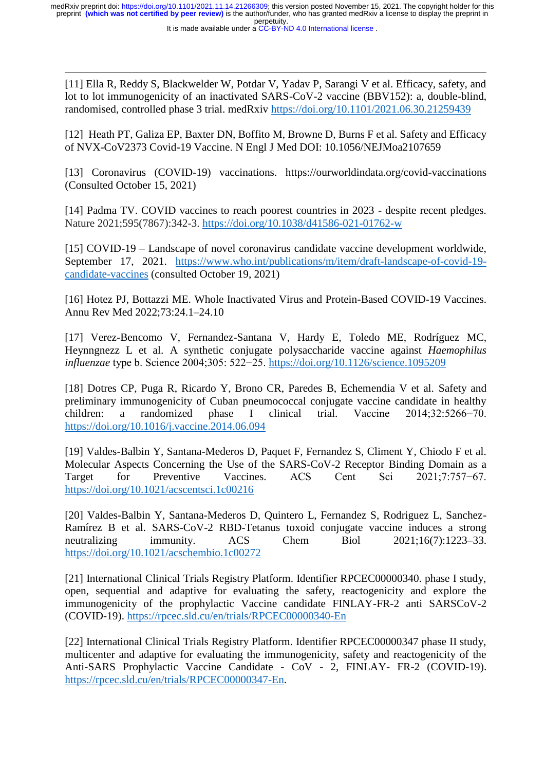It is made available under a CC-BY-ND 4.0 International license.

 $\overline{\phantom{a}}$ 

[11] Ella R, Reddy S, Blackwelder W, Potdar V, Yadav P, Sarangi V et al. Efficacy, safety, and lot to lot immunogenicity of an inactivated SARS-CoV-2 vaccine (BBV152): a, double-blind, randomised, controlled phase 3 trial. medRxiv<https://doi.org/10.1101/2021.06.30.21259439>

[12] Heath PT, Galiza EP, Baxter DN, Boffito M, Browne D, Burns F et al. Safety and Efficacy of NVX-CoV2373 Covid-19 Vaccine. N Engl J Med DOI: 10.1056/NEJMoa2107659

[13] Coronavirus (COVID-19) vaccinations. <https://ourworldindata.org/covid-vaccinations> (Consulted October 15, 2021)

[14] Padma TV. COVID vaccines to reach poorest countries in 2023 - despite recent pledges. Nature 2021;595(7867):342-3.<https://doi.org/10.1038/d41586-021-01762-w>

[15] COVID-19 – Landscape of novel coronavirus candidate vaccine development worldwide, September 17, 2021. [https://www.who.int/publications/m/item/draft-landscape-of-covid-19](https://www.who.int/publications/m/item/draft-landscape-of-covid-19-candidate-vaccines) [candidate-vaccines](https://www.who.int/publications/m/item/draft-landscape-of-covid-19-candidate-vaccines) (consulted October 19, 2021)

[16] Hotez PJ, Bottazzi ME. Whole Inactivated Virus and Protein-Based COVID-19 Vaccines. Annu Rev Med 2022;73:24.1–24.10

[17] Verez-Bencomo V, Fernandez-Santana V, Hardy E, Toledo ME, Rodríguez MC, Heynngnezz L et al. A synthetic conjugate polysaccharide vaccine against *Haemophilus influenzae* type b. Science 2004;305: 522−25.<https://doi.org/10.1126/science.1095209>

[18] Dotres CP, Puga R, Ricardo Y, Brono CR, Paredes B, Echemendia V et al. Safety and preliminary immunogenicity of Cuban pneumococcal conjugate vaccine candidate in healthy children: a randomized phase I clinical trial. Vaccine 2014;32:5266−70. <https://doi.org/10.1016/j.vaccine.2014.06.094>

[19] Valdes-Balbin Y, Santana-Mederos D, Paquet F, Fernandez S, Climent Y, Chiodo F et al. Molecular Aspects Concerning the Use of the SARS-CoV-2 Receptor Binding Domain as a Target for Preventive Vaccines. ACS Cent Sci 2021;7:757−67. <https://doi.org/10.1021/acscentsci.1c00216>

[20] Valdes-Balbin Y, Santana-Mederos D, Quintero L, Fernandez S, Rodriguez L, Sanchez-Ramírez B et al. SARS-CoV-2 RBD-Tetanus toxoid conjugate vaccine induces a strong neutralizing immunity. ACS Chem Biol  $2021:16(7):1223-33$ . <https://doi.org/10.1021/acschembio.1c00272>

[21] International Clinical Trials Registry Platform. Identifier RPCEC00000340. phase I study, open, sequential and adaptive for evaluating the safety, reactogenicity and explore the immunogenicity of the prophylactic Vaccine candidate FINLAY-FR-2 anti SARSCoV-2 (COVID-19).<https://rpcec.sld.cu/en/trials/RPCEC00000340-En>

[22] International Clinical Trials Registry Platform. Identifier RPCEC00000347 phase II study, multicenter and adaptive for evaluating the immunogenicity, safety and reactogenicity of the Anti-SARS Prophylactic Vaccine Candidate - CoV - 2, FINLAY- FR-2 (COVID-19). [https://rpcec.sld.cu/en/trials/RPCEC00000347-En.](https://rpcec.sld.cu/en/trials/RPCEC00000347-En)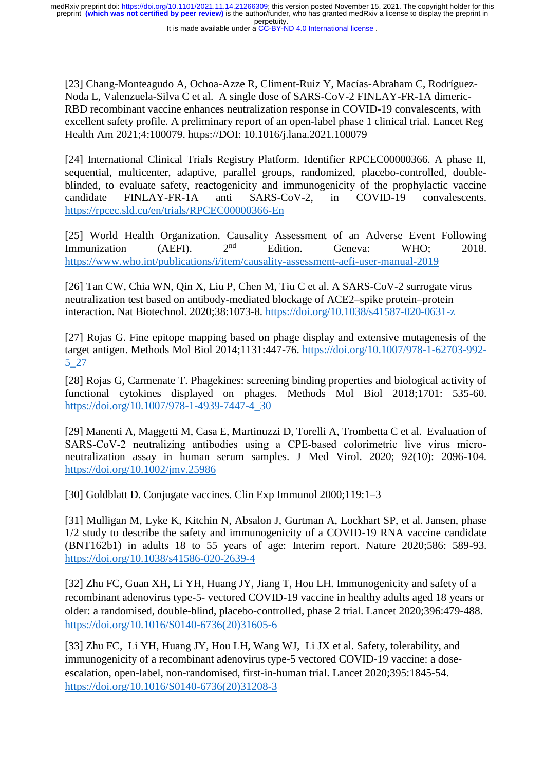$\overline{\phantom{a}}$ [23] Chang-Monteagudo A, Ochoa-Azze R, Climent-Ruiz Y, Macías-Abraham C, Rodríguez-Noda L, Valenzuela-Silva C et al. A single dose of SARS-CoV-2 FINLAY-FR-1A dimeric-RBD recombinant vaccine enhances neutralization response in COVID-19 convalescents, with excellent safety profile. A preliminary report of an open-label phase 1 clinical trial. Lancet Reg Health Am 2021;4:100079. https://DOI: [10.1016/j.lana.2021.100079](https://doi.org/10.1016/j.lana.2021.100079)

[24] International Clinical Trials Registry Platform. Identifier RPCEC00000366. A phase II, sequential, multicenter, adaptive, parallel groups, randomized, placebo-controlled, doubleblinded, to evaluate safety, reactogenicity and immunogenicity of the prophylactic vaccine candidate FINLAY-FR-1A anti SARS-CoV-2, in COVID-19 convalescents. <https://rpcec.sld.cu/en/trials/RPCEC00000366-En>

[25] World Health Organization. Causality Assessment of an Adverse Event Following Immunization (AEFI).  $2^{nd}$  Edition. Geneva: WHO: 2018. <https://www.who.int/publications/i/item/causality-assessment-aefi-user-manual-2019>

[26] Tan CW, Chia WN, Qin X, Liu P, [Chen](https://www.nature.com/articles/s41587-020-0631-z#auth-Mark_I__C_-Chen) M, [Tiu](https://www.nature.com/articles/s41587-020-0631-z#auth-Charles-Tiu) C et al. A SARS-CoV-2 surrogate virus neutralization test based on antibody-mediated blockage of ACE2–spike protein–protein interaction. Nat Biotechnol. 2020;38:1073-8. https://doi.org[/10.1038/s41587-020-0631-z](https://www.nature.com/articles/s41587-020-0631-z)

[27] Rojas G. Fine epitope mapping based on phage display and extensive mutagenesis of the target antigen. Methods Mol Biol 2014;1131:447-76. [https://doi.org/10.1007/978-1-62703-992-](https://doi.org/10.1007/978-1-62703-992-5_27) [5\\_27](https://doi.org/10.1007/978-1-62703-992-5_27)

[28] Rojas G, Carmenate T. Phagekines: screening binding properties and biological activity of functional cytokines displayed on phages. Methods Mol Biol 2018;1701: 535-60. https://doi.org/10.1007/978-1-4939-7447-4\_30

[29] Manenti A, Maggetti M, Casa E, [Martinuzzi](https://pubmed.ncbi.nlm.nih.gov/?term=Martinuzzi+D&cauthor_id=32383254) D, [Torelli](https://pubmed.ncbi.nlm.nih.gov/?term=Torelli+A&cauthor_id=32383254) A, [Trombetta](https://pubmed.ncbi.nlm.nih.gov/?term=Trombetta+CM&cauthor_id=32383254) C et al. Evaluation of SARS-CoV-2 neutralizing antibodies using a CPE-based colorimetric live virus microneutralization assay in human serum samples. J Med Virol. 2020; 92(10): 2096-104. <https://doi.org/10.1002/jmv.25986>

[30] Goldblatt D. Conjugate vaccines. Clin Exp Immunol 2000;119:1–3

[31] Mulligan M, Lyke K, Kitchin N, Absalon J, Gurtman A, Lockhart SP, et al. Jansen, phase 1/2 study to describe the safety and immunogenicity of a COVID-19 RNA vaccine candidate (BNT162b1) in adults 18 to 55 years of age: Interim report. Nature 2020;586: 589-93. <https://doi.org/10.1038/s41586-020-2639-4>

[32] Zhu FC, Guan XH, Li YH, Huang JY, Jiang T, Hou LH. Immunogenicity and safety of a recombinant adenovirus type-5- vectored COVID-19 vaccine in healthy adults aged 18 years or older: a randomised, double-blind, placebo-controlled, phase 2 trial. Lancet 2020;396:479-488. [https://doi.org/10.1016/S0140-6736\(20\)31605-6](https://doi.org/10.1016/S0140-6736(20)31605-6)

[33] Zhu FC, Li YH, Huang JY, Hou LH, Wang WJ, Li JX et al. Safety, tolerability, and immunogenicity of a recombinant adenovirus type-5 vectored COVID-19 vaccine: a doseescalation, open-label, non-randomised, first-in-human trial. Lancet 2020;395:1845-54. [https://doi.org/10.1016/S0140-6736\(20\)31208-3](https://doi.org/10.1016/S0140-6736(20)31208-3)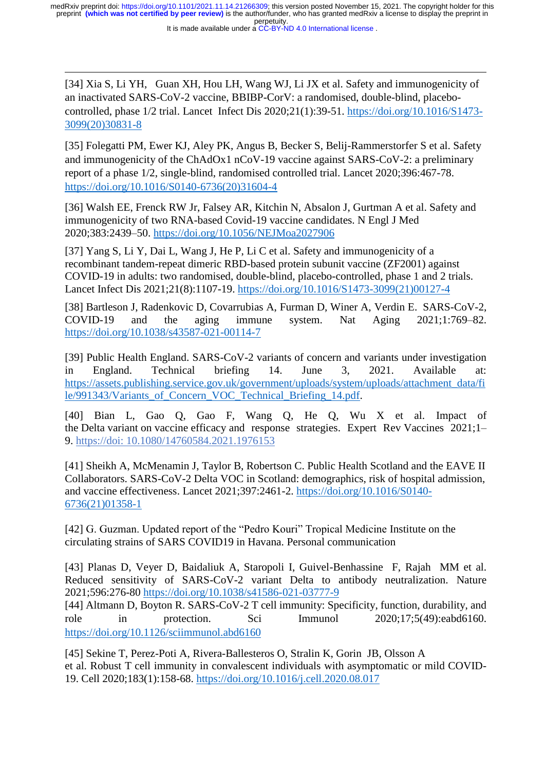It is made available under a CC-BY-ND 4.0 International license.

 $\overline{\phantom{a}}$ [34] Xia S, Li YH, Guan XH, Hou LH, Wang WJ, Li JX et al. Safety and immunogenicity of an inactivated SARS-CoV-2 vaccine, BBIBP-CorV: a randomised, double-blind, placebocontrolled, phase 1/2 trial. Lancet Infect Dis 2020;21(1):39-51. [https://doi.org/10.1016/S1473-](https://doi.org/10.1016/S1473-3099(20)30831-8) [3099\(20\)30831-8](https://doi.org/10.1016/S1473-3099(20)30831-8)

[35] Folegatti PM, Ewer KJ, Aley PK, Angus B, Becker S, Belij-Rammerstorfer S et al. Safety and immunogenicity of the ChAdOx1 nCoV-19 vaccine against SARS-CoV-2: a preliminary report of a phase 1/2, single-blind, randomised controlled trial. Lancet 2020;396:467-78. [https://doi.org/10.1016/S0140-6736\(20\)31604-4](https://doi.org/10.1016/S0140-6736(20)31604-4)

[36] Walsh EE, Frenck RW Jr, Falsey AR, Kitchin N, Absalon J, Gurtman A et al. Safety and immunogenicity of two RNA-based Covid-19 vaccine candidates. N Engl J Med 2020;383:2439–50.<https://doi.org/10.1056/NEJMoa2027906>

[37] Yang S, Li Y, Dai L, Wang J, He P, Li C et al. Safety and immunogenicity of a recombinant tandem-repeat dimeric RBD-based protein subunit vaccine (ZF2001) against COVID-19 in adults: two randomised, double-blind, placebo-controlled, phase 1 and 2 trials. Lancet Infect Dis 2021;21(8):1107-19. [https://doi.org/10.1016/S1473-3099\(21\)00127-4](https://doi.org/10.1016/S1473-3099(21)00127-4) 

[38] Bartleson J, Radenkovic D, Covarrubias A, Furman D, Winer A, Verdin E. SARS-CoV-2, COVID-19 and the aging immune system. Nat Aging 2021;1:769–82. <https://doi.org/10.1038/s43587-021-00114-7>

[39] Public Health England. SARS-CoV-2 variants of concern and variants under investigation in England. Technical briefing 14. June 3, 2021. Available at: [https://assets.publishing.service.gov.uk/government/uploads/system/uploads/attachment\\_data/fi](https://assets.publishing.service.gov.uk/government/uploads/system/uploads/attachment_data/file/984274/Variants_of_Concern_VOC_Technical_Briefing_10_England.pdf) le/991343/Variants of Concern VOC Technical Briefing 14.pdf.

[40] Bian L, Gao Q, Gao F, Wang Q, He Q, Wu X et al. [Impact of](https://www.ncbi.nlm.nih.gov/pmc/articles/PMC8442750/) the Delta variant on vaccine efficacy [and response strategies.](https://www.ncbi.nlm.nih.gov/pmc/articles/PMC8442750/) Expert Rev Vaccines 2021;1– 9. https://doi: 10.1080/14760584.2021.1976153

[41] Sheikh A, McMenamin J, Taylor B, Robertson C. Public Health Scotland and the EAVE II Collaborators. SARS-CoV-2 Delta VOC in Scotland: demographics, risk of hospital admission, and vaccine effectiveness. Lancet 2021;397:2461-2. [https://doi.org/10.1016/S0140-](https://doi.org/10.1016/S0140-6736(21)01358-1) [6736\(21\)01358-1](https://doi.org/10.1016/S0140-6736(21)01358-1)

[42] G. Guzman. Updated report of the "Pedro Kouri" Tropical Medicine Institute on the circulating strains of SARS COVID19 in Havana. Personal communication

[43] Planas D, Veyer D, Baidaliuk A, Staropoli I, Guivel-Benhassine F, Rajah MM et al. Reduced sensitivity of SARS-CoV-2 variant Delta to antibody neutralization. Nature 2021;596:276-80<https://doi.org/10.1038/s41586-021-03777-9>

[44] Altmann D, Boyton R. SARS-CoV-2 T cell immunity: Specificity, function, durability, and role in protection. Sci Immunol 2020;17;5(49):eabd6160. <https://doi.org/10.1126/sciimmunol.abd6160>

[45] Sekine T, Perez-Poti A, Rivera-Ballesteros O, [Stralin](https://pubmed.ncbi.nlm.nih.gov/?term=Str%C3%A5lin+K&cauthor_id=32979941) K, [Gorin](https://pubmed.ncbi.nlm.nih.gov/?term=Gorin+JB&cauthor_id=32979941) JB, [Olsson A](https://pubmed.ncbi.nlm.nih.gov/?term=Olsson+A&cauthor_id=32979941) et al. Robust T cell immunity in convalescent individuals with asymptomatic or mild COVID-19. Cell 2020;183(1):158-68.<https://doi.org/10.1016/j.cell.2020.08.017>